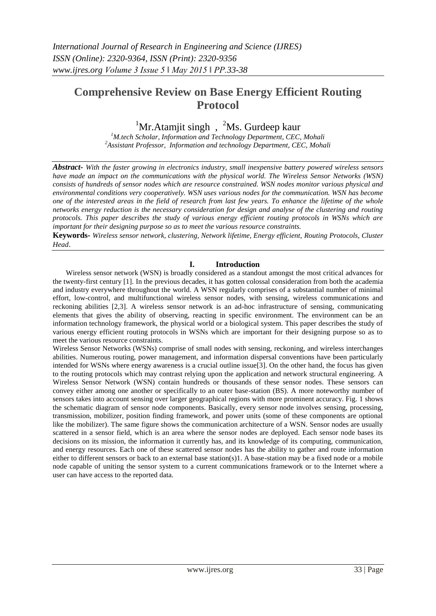# **Comprehensive Review on Base Energy Efficient Routing Protocol**

<sup>1</sup>Mr.Atamjit singh,  $^{2}$ Ms. Gurdeep kaur

*<sup>1</sup>M.tech Scholar, Information and Technology Department, CEC, Mohali <sup>2</sup>Assistant Professor, Information and technology Department, CEC, Mohali*

*Abstract- With the faster growing in electronics industry, small inexpensive battery powered wireless sensors have made an impact on the communications with the physical world. The Wireless Sensor Networks (WSN) consists of hundreds of sensor nodes which are resource constrained. WSN nodes monitor various physical and environmental conditions very cooperatively. WSN uses various nodes for the communication. WSN has become one of the interested areas in the field of research from last few years. To enhance the lifetime of the whole networks energy reduction is the necessary consideration for design and analyse of the clustering and routing protocols. This paper describes the study of various energy efficient routing protocols in WSNs which are important for their designing purpose so as to meet the various resource constraints.*

**Keywords-** *Wireless sensor network, clustering, Network lifetime, Energy efficient, Routing Protocols, Cluster Head*.

## **I. Introduction**

Wireless sensor network (WSN) is broadly considered as a standout amongst the most critical advances for the twenty-first century [1]. In the previous decades, it has gotten colossal consideration from both the academia and industry everywhere throughout the world. A WSN regularly comprises of a substantial number of minimal effort, low-control, and multifunctional wireless sensor nodes, with sensing, wireless communications and reckoning abilities [2,3]. A wireless sensor network is an ad-hoc infrastructure of sensing, communicating elements that gives the ability of observing, reacting in specific environment. The environment can be an information technology framework, the physical world or a biological system. This paper describes the study of various energy efficient routing protocols in WSNs which are important for their designing purpose so as to meet the various resource constraints.

Wireless Sensor Networks (WSNs) comprise of small nodes with sensing, reckoning, and wireless interchanges abilities. Numerous routing, power management, and information dispersal conventions have been particularly intended for WSNs where energy awareness is a crucial outline issue[3]. On the other hand, the focus has given to the routing protocols which may contrast relying upon the application and network structural engineering. A Wireless Sensor Network (WSN) contain hundreds or thousands of these sensor nodes. These sensors can convey either among one another or specifically to an outer base-station (BS). A more noteworthy number of sensors takes into account sensing over larger geographical regions with more prominent accuracy. Fig. 1 shows the schematic diagram of sensor node components. Basically, every sensor node involves sensing, processing, transmission, mobilizer, position finding framework, and power units (some of these components are optional like the mobilizer). The same figure shows the communication architecture of a WSN. Sensor nodes are usually scattered in a sensor field, which is an area where the sensor nodes are deployed. Each sensor node bases its decisions on its mission, the information it currently has, and its knowledge of its computing, communication, and energy resources. Each one of these scattered sensor nodes has the ability to gather and route information either to different sensors or back to an external base station(s)1. A base-station may be a fixed node or a mobile node capable of uniting the sensor system to a current communications framework or to the Internet where a user can have access to the reported data.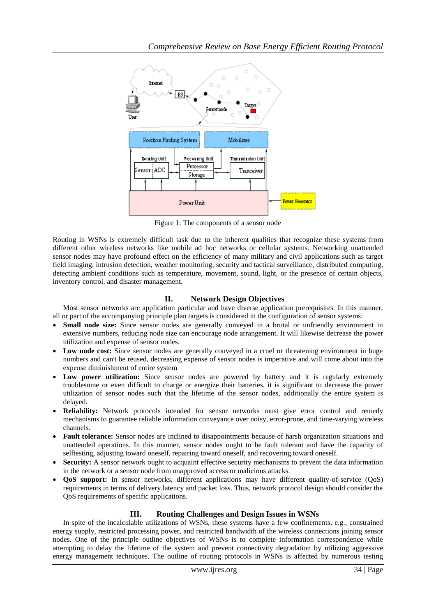

Figure 1: The components of a sensor node

Routing in WSNs is extremely difficult task due to the inherent qualities that recognize these systems from different other wireless networks like mobile ad hoc networks or cellular systems. Networking unattended sensor nodes may have profound effect on the efficiency of many military and civil applications such as target field imaging, intrusion detection, weather monitoring, security and tactical surveillance, distributed computing, detecting ambient conditions such as temperature, movement, sound, light, or the presence of certain objects, inventory control, and disaster management.

## **II. Network Design Objectives**

Most sensor networks are application particular and have diverse application prerequisites. In this manner, all or part of the accompanying principle plan targets is considered in the configuration of sensor systems:

- **Small node size:** Since sensor nodes are generally conveyed in a brutal or unfriendly environment in extensive numbers, reducing node size can encourage node arrangement. It will likewise decrease the power utilization and expense of sensor nodes.
- Low node cost: Since sensor nodes are generally conveyed in a cruel or threatening environment in huge numbers and can't be reused, decreasing expense of sensor nodes is imperative and will come about into the expense diminishment of entire system
- Low power utilization: Since sensor nodes are powered by battery and it is regularly extremely troublesome or even difficult to charge or energize their batteries, it is significant to decrease the power utilization of sensor nodes such that the lifetime of the sensor nodes, additionally the entire system is delayed.
- **Reliability:** Network protocols intended for sensor networks must give error control and remedy mechanisms to guarantee reliable information conveyance over noisy, error-prone, and time-varying wireless channels.
- **Fault tolerance:** Sensor nodes are inclined to disappointments because of harsh organization situations and unattended operations. In this manner, sensor nodes ought to be fault tolerant and have the capacity of selftesting, adjusting toward oneself, repairing toward oneself, and recovering toward oneself.
- **Security:** A sensor network ought to acquaint effective security mechanisms to prevent the data information in the network or a sensor node from unapproved access or malicious attacks.
- **QoS support:** In sensor networks, different applications may have different quality-of-service (QoS) requirements in terms of delivery latency and packet loss. Thus, network protocol design should consider the QoS requirements of specific applications.

# **III. Routing Challenges and Design Issues in WSNs**

In spite of the incalculable utilizations of WSNs, these systems have a few confinements, e.g., constrained energy supply, restricted processing power, and restricted bandwidth of the wireless connections joining sensor nodes. One of the principle outline objectives of WSNs is to complete information correspondence while attempting to delay the lifetime of the system and prevent connectivity degradation by utilizing aggressive energy management techniques. The outline of routing protocols in WSNs is affected by numerous testing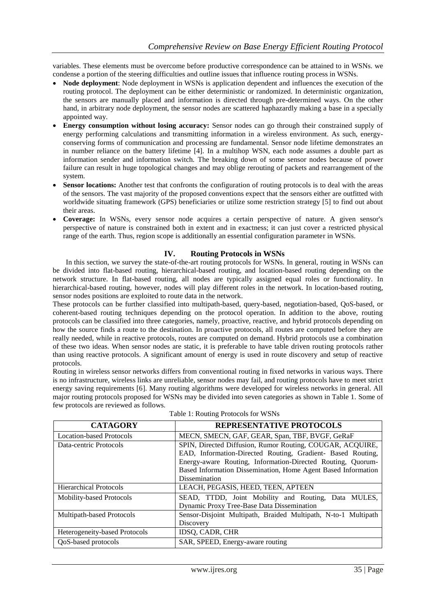variables. These elements must be overcome before productive correspondence can be attained to in WSNs. we condense a portion of the steering difficulties and outline issues that influence routing process in WSNs.

- **Node deployment**: Node deployment in WSNs is application dependent and influences the execution of the routing protocol. The deployment can be either deterministic or randomized. In deterministic organization, the sensors are manually placed and information is directed through pre-determined ways. On the other hand, in arbitrary node deployment, the sensor nodes are scattered haphazardly making a base in a specially appointed way.
- **Energy consumption without losing accuracy:** Sensor nodes can go through their constrained supply of energy performing calculations and transmitting information in a wireless environment. As such, energyconserving forms of communication and processing are fundamental. Sensor node lifetime demonstrates an in number reliance on the battery lifetime [4]. In a multihop WSN, each node assumes a double part as information sender and information switch. The breaking down of some sensor nodes because of power failure can result in huge topological changes and may oblige rerouting of packets and rearrangement of the system.
- **Sensor locations:** Another test that confronts the configuration of routing protocols is to deal with the areas of the sensors. The vast majority of the proposed conventions expect that the sensors either are outfitted with worldwide situating framework (GPS) beneficiaries or utilize some restriction strategy [5] to find out about their areas.
- **Coverage:** In WSNs, every sensor node acquires a certain perspective of nature. A given sensor's perspective of nature is constrained both in extent and in exactness; it can just cover a restricted physical range of the earth. Thus, region scope is additionally an essential configuration parameter in WSNs.

## **IV. Routing Protocols in WSNs**

In this section, we survey the state-of-the-art routing protocols for WSNs. In general, routing in WSNs can be divided into flat-based routing, hierarchical-based routing, and location-based routing depending on the network structure. In flat-based routing, all nodes are typically assigned equal roles or functionality. In hierarchical-based routing, however, nodes will play different roles in the network. In location-based routing, sensor nodes positions are exploited to route data in the network.

These protocols can be further classified into multipath-based, query-based, negotiation-based, QoS-based, or coherent-based routing techniques depending on the protocol operation. In addition to the above, routing protocols can be classified into three categories, namely, proactive, reactive, and hybrid protocols depending on how the source finds a route to the destination. In proactive protocols, all routes are computed before they are really needed, while in reactive protocols, routes are computed on demand. Hybrid protocols use a combination of these two ideas. When sensor nodes are static, it is preferable to have table driven routing protocols rather than using reactive protocols. A significant amount of energy is used in route discovery and setup of reactive protocols.

Routing in wireless sensor networks differs from conventional routing in fixed networks in various ways. There is no infrastructure, wireless links are unreliable, sensor nodes may fail, and routing protocols have to meet strict energy saving requirements [6]. Many routing algorithms were developed for wireless networks in general. All major routing protocols proposed for WSNs may be divided into seven categories as shown in Table 1. Some of few protocols are reviewed as follows.

| <b>CATAGORY</b>                 | <b>REPRESENTATIVE PROTOCOLS</b>                                |  |  |  |
|---------------------------------|----------------------------------------------------------------|--|--|--|
| <b>Location-based Protocols</b> | MECN, SMECN, GAF, GEAR, Span, TBF, BVGF, GeRaF                 |  |  |  |
| Data-centric Protocols          | SPIN, Directed Diffusion, Rumor Routing, COUGAR, ACQUIRE,      |  |  |  |
|                                 | EAD, Information-Directed Routing, Gradient- Based Routing,    |  |  |  |
|                                 | Energy-aware Routing, Information-Directed Routing, Quorum-    |  |  |  |
|                                 | Based Information Dissemination, Home Agent Based Information  |  |  |  |
|                                 | Dissemination                                                  |  |  |  |
| <b>Hierarchical Protocols</b>   | LEACH, PEGASIS, HEED, TEEN, APTEEN                             |  |  |  |
| <b>Mobility-based Protocols</b> | SEAD, TTDD, Joint Mobility and Routing, Data MULES,            |  |  |  |
|                                 | Dynamic Proxy Tree-Base Data Dissemination                     |  |  |  |
| Multipath-based Protocols       | Sensor-Disjoint Multipath, Braided Multipath, N-to-1 Multipath |  |  |  |
|                                 | Discovery                                                      |  |  |  |
| Heterogeneity-based Protocols   | IDSQ, CADR, CHR                                                |  |  |  |
| QoS-based protocols             | SAR, SPEED, Energy-aware routing                               |  |  |  |

|  |  |  | Table 1: Routing Protocols for WSNs |  |  |
|--|--|--|-------------------------------------|--|--|
|--|--|--|-------------------------------------|--|--|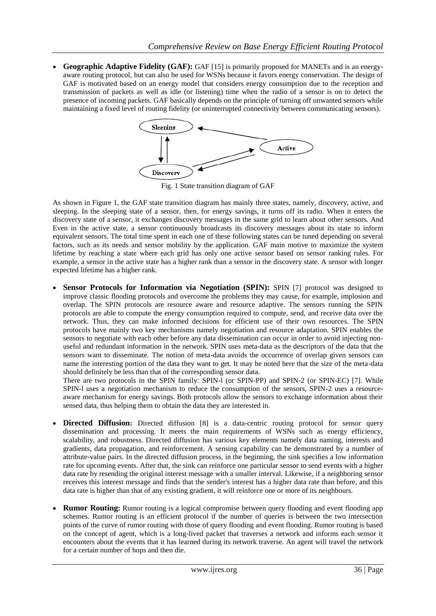**Geographic Adaptive Fidelity (GAF):** GAF [15] is primarily proposed for MANETs and is an energyaware routing protocol, but can also be used for WSNs because it favors energy conservation. The design of GAF is motivated based on an energy model that considers energy consumption due to the reception and transmission of packets as well as idle (or listening) time when the radio of a sensor is on to detect the presence of incoming packets. GAF basically depends on the principle of turning off unwanted sensors while maintaining a fixed level of routing fidelity (or uninterrupted connectivity between communicating sensors).



Fig. 1 State transition diagram of GAF

As shown in Figure 1, the GAF state transition diagram has mainly three states, namely, discovery, active, and sleeping. In the sleeping state of a sensor, then, for energy savings, it turns off its radio. When it enters the discovery state of a sensor, it exchanges discovery messages in the same grid to learn about other sensors. And Even in the active state, a sensor continuously broadcasts its discovery messages about its state to inform equivalent sensors. The total time spent in each one of these following states can be tuned depending on several factors, such as its needs and sensor mobility by the application. GAF main motive to maximize the system lifetime by reaching a state where each grid has only one active sensor based on sensor ranking rules. For example, a sensor in the active state has a higher rank than a sensor in the discovery state. A sensor with longer expected lifetime has a higher rank.

**Sensor Protocols for Information via Negotiation (SPIN):** SPIN [7] protocol was designed to improve classic flooding protocols and overcome the problems they may cause, for example, implosion and overlap. The SPIN protocols are resource aware and resource adaptive. The sensors running the SPIN protocols are able to compute the energy consumption required to compute, send, and receive data over the network. Thus, they can make informed decisions for efficient use of their own resources. The SPIN protocols have mainly two key mechanisms namely negotiation and resource adaptation. SPIN enables the sensors to negotiate with each other before any data dissemination can occur in order to avoid injecting nonuseful and redundant information in the network. SPIN uses meta-data as the descriptors of the data that the sensors want to disseminate. The notion of meta-data avoids the occurrence of overlap given sensors can name the interesting portion of the data they want to get. It may be noted here that the size of the meta-data should definitely be less than that of the corresponding sensor data.

There are two protocols in the SPIN family: SPIN-1 (or SPIN-PP) and SPIN-2 (or SPIN-EC) [7]. While SPIN-l uses a negotiation mechanism to reduce the consumption of the sensors, SPIN-2 uses a resourceaware mechanism for energy savings. Both protocols allow the sensors to exchange information about their sensed data, thus helping them to obtain the data they are interested in.

- **Directed Diffusion:** Directed diffusion [8] is a data-centric routing protocol for sensor query dissemination and processing. It meets the main requirements of WSNs such as energy efficiency, scalability, and robustness. Directed diffusion has various key elements namely data naming, interests and gradients, data propagation, and reinforcement. A sensing capability can be demonstrated by a number of attribute-value pairs. In the directed diffusion process, in the beginning, the sink specifies a low information rate for upcoming events. After that, the sink can reinforce one particular sensor to send events with a higher data rate by resending the original interest message with a smaller interval. Likewise, if a neighboring sensor receives this interest message and finds that the sender's interest has a higher data rate than before, and this data rate is higher than that of any existing gradient, it will reinforce one or more of its neighbours.
- **Rumor Routing:** Rumor routing is a logical compromise between query flooding and event flooding app schemes. Rumor routing is an efficient protocol if the number of queries is between the two intersection points of the curve of rumor routing with those of query flooding and event flooding. Rumor routing is based on the concept of agent, which is a long-lived packet that traverses a network and informs each sensor it encounters about the events that it has learned during its network traverse. An agent will travel the network for a certain number of hops and then die.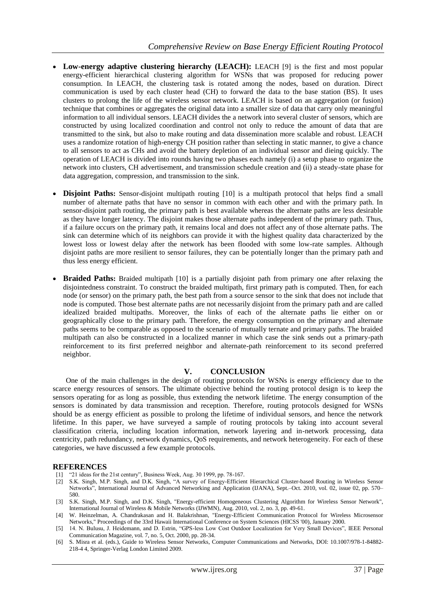- **Low-energy adaptive clustering hierarchy (LEACH):** LEACH [9] is the first and most popular energy-efficient hierarchical clustering algorithm for WSNs that was proposed for reducing power consumption. In LEACH, the clustering task is rotated among the nodes, based on duration. Direct communication is used by each cluster head (CH) to forward the data to the base station (BS). It uses clusters to prolong the life of the wireless sensor network. LEACH is based on an aggregation (or fusion) technique that combines or aggregates the original data into a smaller size of data that carry only meaningful information to all individual sensors. LEACH divides the a network into several cluster of sensors, which are constructed by using localized coordination and control not only to reduce the amount of data that are transmitted to the sink, but also to make routing and data dissemination more scalable and robust. LEACH uses a randomize rotation of high-energy CH position rather than selecting in static manner, to give a chance to all sensors to act as CHs and avoid the battery depletion of an individual sensor and dieing quickly. The operation of LEACH is divided into rounds having two phases each namely (i) a setup phase to organize the network into clusters, CH advertisement, and transmission schedule creation and (ii) a steady-state phase for data aggregation, compression, and transmission to the sink.
- **Disjoint Paths**: Sensor-disjoint multipath routing [10] is a multipath protocol that helps find a small number of alternate paths that have no sensor in common with each other and with the primary path. In sensor-disjoint path routing, the primary path is best available whereas the alternate paths are less desirable as they have longer latency. The disjoint makes those alternate paths independent of the primary path. Thus, if a failure occurs on the primary path, it remains local and does not affect any of those alternate paths. The sink can determine which of its neighbors can provide it with the highest quality data characterized by the lowest loss or lowest delay after the network has been flooded with some low-rate samples. Although disjoint paths are more resilient to sensor failures, they can be potentially longer than the primary path and thus less energy efficient.
- **Braided Paths:** Braided multipath [10] is a partially disjoint path from primary one after relaxing the disjointedness constraint. To construct the braided multipath, first primary path is computed. Then, for each node (or sensor) on the primary path, the best path from a source sensor to the sink that does not include that node is computed. Those best alternate paths are not necessarily disjoint from the primary path and are called idealized braided multipaths. Moreover, the links of each of the alternate paths lie either on or geographically close to the primary path. Therefore, the energy consumption on the primary and alternate paths seems to be comparable as opposed to the scenario of mutually ternate and primary paths. The braided multipath can also be constructed in a localized manner in which case the sink sends out a primary-path reinforcement to its first preferred neighbor and alternate-path reinforcement to its second preferred neighbor.

## **V. CONCLUSION**

One of the main challenges in the design of routing protocols for WSNs is energy efficiency due to the scarce energy resources of sensors. The ultimate objective behind the routing protocol design is to keep the sensors operating for as long as possible, thus extending the network lifetime. The energy consumption of the sensors is dominated by data transmission and reception. Therefore, routing protocols designed for WSNs should be as energy efficient as possible to prolong the lifetime of individual sensors, and hence the network lifetime. In this paper, we have surveyed a sample of routing protocols by taking into account several classification criteria, including location information, network layering and in-network processing, data centricity, path redundancy, network dynamics, QoS requirements, and network heterogeneity. For each of these categories, we have discussed a few example protocols.

## **REFERENCES**

- [1] "21 ideas for the 21st century", Business Week, Aug. 30 1999, pp. 78-167.
- [2] S.K. Singh, M.P. Singh, and D.K. Singh, "A survey of Energy-Efficient Hierarchical Cluster-based Routing in Wireless Sensor Networks", International Journal of Advanced Networking and Application (IJANA), Sept.–Oct. 2010, vol. 02, issue 02, pp. 570– 580.
- [3] S.K. Singh, M.P. Singh, and D.K. Singh, "Energy-efficient Homogeneous Clustering Algorithm for Wireless Sensor Network", International Journal of Wireless & Mobile Networks (IJWMN), Aug. 2010, vol. 2, no. 3, pp. 49-61.
- [4] W. Heinzelman, A. Chandrakasan and H. Balakrishnan, "Energy-Efficient Communication Protocol for Wireless Microsensor Networks," Proceedings of the 33rd Hawaii International Conference on System Sciences (HICSS '00), January 2000.
- [5] 14. N. Bulusu, J. Heidemann, and D. Estrin, "GPS-less Low Cost Outdoor Localization for Very Small Devices", IEEE Personal Communication Magazine, vol. 7, no. 5, Oct. 2000, pp. 28-34.
- [6] S. Misra et al. (eds.), Guide to Wireless Sensor Networks, Computer Communications and Networks, DOI: 10.1007/978-1-84882- 218-4 4, Springer-Verlag London Limited 2009.